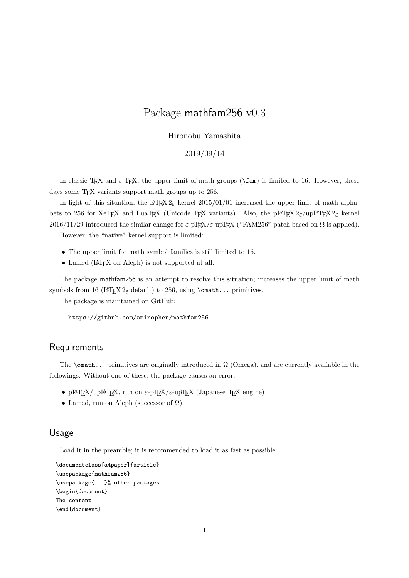# Package mathfam256 v0.3

#### Hironobu Yamashita

#### 2019/09/14

In classic T<sub>E</sub>X and  $\varepsilon$ -T<sub>E</sub>X, the upper limit of math groups ( $\frac{\tan \theta}{\tan \theta}$  is limited to 16. However, these days some T<sub>E</sub>X variants support math groups up to 256.

In light of this situation, the LAT<sub>E</sub>X 2<sub> $\epsilon$ </sub> kernel 2015/01/01 increased the upper limit of math alphabets to 256 for XeT<sub>E</sub>X and LuaT<sub>E</sub>X (Unicode T<sub>E</sub>X variants). Also, the pLAT<sub>E</sub>X 2<sub>*ε*</sub>/upLAT<sub>E</sub>X 2<sub>*ε*</sub> kernel 2016/11/29 introduced the similar change for  $\varepsilon$ -pT<sub>E</sub>X/ $\varepsilon$ -upT<sub>E</sub>X ("FAM256" patch based on Ω is applied).

However, the "native" kernel support is limited:

- *•* The upper limit for math symbol families is still limited to 16.
- Lamed (L<sup>AT</sup>EX on Aleph) is not supported at all.

The package mathfam256 is an attempt to resolve this situation; increases the upper limit of math symbols from 16 (LAT<sub>E</sub>X  $2_{\epsilon}$  default) to 256, using **\omath...** primitives.

The package is maintained on GitHub:

https://github.com/aminophen/mathfam256

#### Requirements

The \omath... primitives are originally introduced in  $\Omega$  (Omega), and are currently available in the followings. Without one of these, the package causes an error.

- pLAT<sub>E</sub>X/upLAT<sub>E</sub>X, run on  $\varepsilon$ -pT<sub>E</sub>X/ $\varepsilon$ -upT<sub>E</sub>X (Japanese T<sub>E</sub>X engine)
- *•* Lamed, run on Aleph (successor of Ω)

#### Usage

Load it in the preamble; it is recommended to load it as fast as possible.

```
\documentclass[a4paper]{article}
\usepackage{mathfam256}
\usepackage{...}% other packages
\begin{document}
The content
\end{document}
```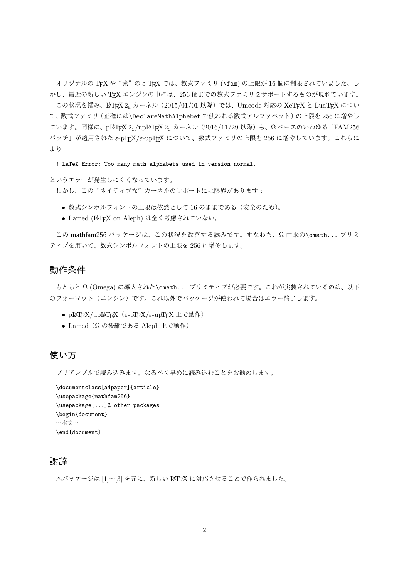オリジナルの TFX や"素"の ε-TFX では、数式ファミリ (\fam) の上限が 16 個に制限されていました。し かし、最近の新しい TEX エンジンの中には、256 個までの数式ファミリをサポートするものが現れています。

この状況を鑑み、L<sup>AT</sup>FX 2<sub></sub> $\varepsilon$  カーネル (2015/01/01 以降) では、Unicode 対応の XeTFX と LuaTFX につい て、数式ファミリ(正確には\DeclareMathAlphebet で使われる数式アルファベット)の上限を 256 に増やし ています。同様に、pLATEX 2*ε*/upLATEX 2*ε* カーネル(2016/11/29 以降)も、Ω ベースのいわゆる「FAM256 パッチ」が適用された *ε*-pTEX/*ε*-upTEX について、数式ファミリの上限を 256 に増やしています。これらに より

! LaTeX Error: Too many math alphabets used in version normal.

というエラーが発生しにくくなっています。

しかし、この"ネイティブな"カーネルのサポートには限界があります:

- *•* 数式シンボルフォントの上限は依然として 16 のままである(安全のため)。
- Lamed (LAT<sub>F</sub>X on Aleph) は全く考慮されていない。

この mathfam256 パッケージは、この状況を改善する試みです。すなわち、Ω 由来の\omath... プリミ ティブを用いて、数式シンボルフォントの上限を 256 に増やします。

### 動作条件

もともと Ω (Omega) に導入された\omath... プリミティブが必要です。これが実装されているのは、以下 のフォーマット(エンジン)です。これ以外でパッケージが使われて場合はエラー終了します。

- pLAT<sub>E</sub>X/upLAT<sub>E</sub>X (ε-pT<sub>E</sub>X/ε-upT<sub>E</sub>X 上で動作)
- Lamed (Ω の後継である Aleph 上で動作)

## 使い方

プリアンブルで読み込みます。なるべく早めに読み込むことをお勧めします。

```
\documentclass[a4paper]{article}
\usepackage{mathfam256}
\usepackage{...}% other packages
\begin{document}
…本文…
\end{document}
```
### 謝辞

本パッケージは [1]~[3] を元に、新しい LATEX に対応させることで作られました。